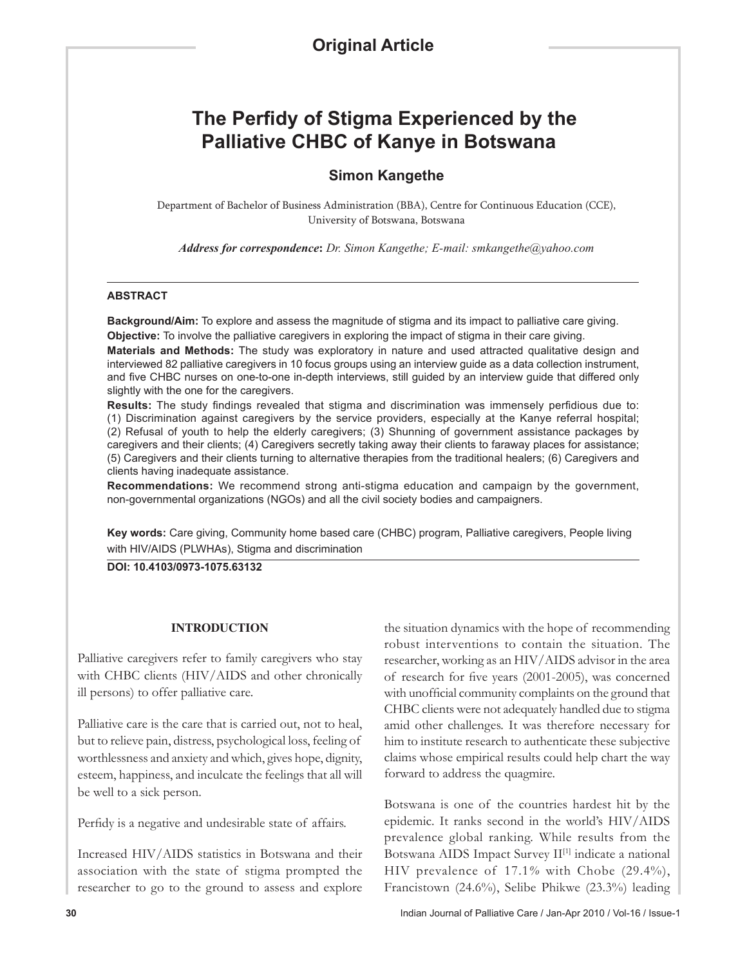# **The Perfidy of Stigma Experienced by the Palliative CHBC of Kanye in Botswana**

# **Simon Kangethe**

Department of Bachelor of Business Administration (BBA), Centre for Continuous Education (CCE), University of Botswana, Botswana

*Address for correspondence***:** *Dr. Simon Kangethe; E-mail: smkangethe@yahoo.com* 

#### **ABSTRACT**

**Background/Aim:** To explore and assess the magnitude of stigma and its impact to palliative care giving. **Objective:** To involve the palliative caregivers in exploring the impact of stigma in their care giving.

**Materials and Methods:** The study was exploratory in nature and used attracted qualitative design and interviewed 82 palliative caregivers in 10 focus groups using an interview guide as a data collection instrument, and five CHBC nurses on one-to-one in-depth interviews, still guided by an interview guide that differed only slightly with the one for the caregivers.

**Results:** The study findings revealed that stigma and discrimination was immensely perfidious due to: (1) Discrimination against caregivers by the service providers, especially at the Kanye referral hospital; (2) Refusal of youth to help the elderly caregivers; (3) Shunning of government assistance packages by caregivers and their clients; (4) Caregivers secretly taking away their clients to faraway places for assistance; (5) Caregivers and their clients turning to alternative therapies from the traditional healers; (6) Caregivers and clients having inadequate assistance.

**Recommendations:** We recommend strong anti-stigma education and campaign by the government, non-governmental organizations (NGOs) and all the civil society bodies and campaigners.

**Key words:** Care giving, Community home based care (CHBC) program, Palliative caregivers, People living with HIV/AIDS (PLWHAs), Stigma and discrimination

**DOI: 10.4103/0973-1075.63132**

#### **INTRODUCTION**

Palliative caregivers refer to family caregivers who stay with CHBC clients (HIV/AIDS and other chronically ill persons) to offer palliative care.

Palliative care is the care that is carried out, not to heal, but to relieve pain, distress, psychological loss, feeling of worthlessness and anxiety and which, gives hope, dignity, esteem, happiness, and inculcate the feelings that all will be well to a sick person.

Perfidy is a negative and undesirable state of affairs.

Increased HIV/AIDS statistics in Botswana and their association with the state of stigma prompted the researcher to go to the ground to assess and explore

the situation dynamics with the hope of recommending robust interventions to contain the situation. The researcher, working as an HIV/AIDS advisor in the area of research for five years (2001-2005), was concerned with unofficial community complaints on the ground that CHBC clients were not adequately handled due to stigma amid other challenges. It was therefore necessary for him to institute research to authenticate these subjective claims whose empirical results could help chart the way forward to address the quagmire.

Botswana is one of the countries hardest hit by the epidemic. It ranks second in the world's HIV/AIDS prevalence global ranking. While results from the Botswana AIDS Impact Survey II<sup>[1]</sup> indicate a national HIV prevalence of 17.1*%* with Chobe (29.4%), Francistown (24.6%), Selibe Phikwe (23.3%) leading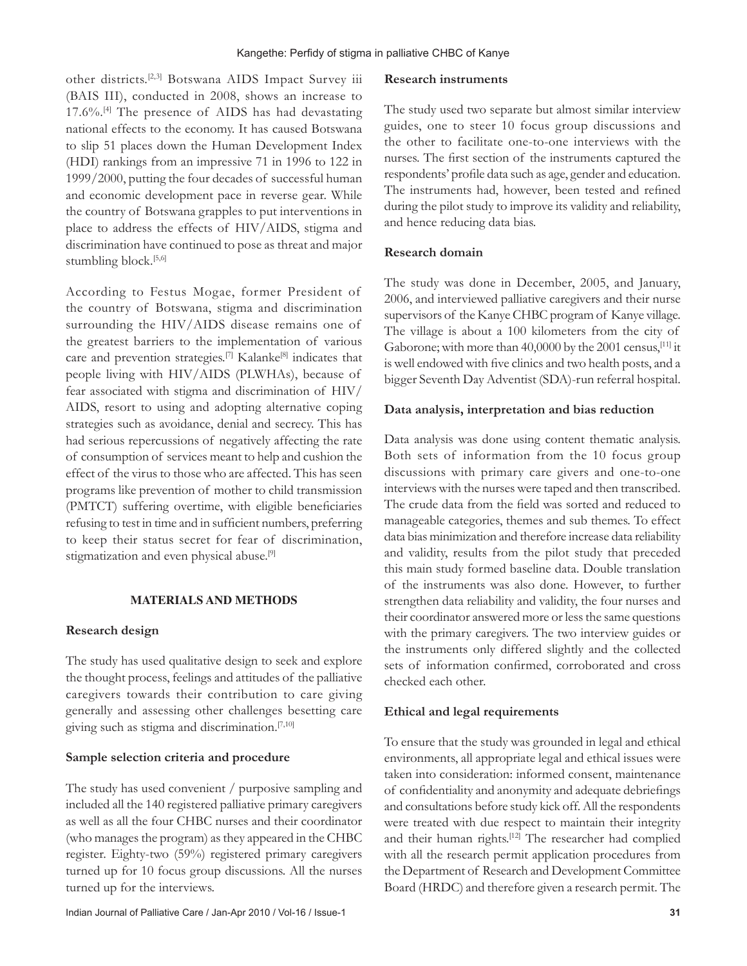other districts.[2,3] Botswana AIDS Impact Survey iii (BAIS III), conducted in 2008, shows an increase to 17.6%.[4] The presence of AIDS has had devastating national effects to the economy. It has caused Botswana to slip 51 places down the Human Development Index (HDI) rankings from an impressive 71 in 1996 to 122 in 1999/2000, putting the four decades of successful human and economic development pace in reverse gear. While the country of Botswana grapples to put interventions in place to address the effects of HIV/AIDS, stigma and discrimination have continued to pose as threat and major stumbling block.<sup>[5,6]</sup>

According to Festus Mogae, former President of the country of Botswana, stigma and discrimination surrounding the HIV/AIDS disease remains one of the greatest barriers to the implementation of various care and prevention strategies.<sup>[7]</sup> Kalanke<sup>[8]</sup> indicates that people living with HIV/AIDS (PLWHAs), because of fear associated with stigma and discrimination of HIV/ AIDS, resort to using and adopting alternative coping strategies such as avoidance, denial and secrecy. This has had serious repercussions of negatively affecting the rate of consumption of services meant to help and cushion the effect of the virus to those who are affected. This has seen programs like prevention of mother to child transmission (PMTCT) suffering overtime, with eligible beneficiaries refusing to test in time and in sufficient numbers, preferring to keep their status secret for fear of discrimination, stigmatization and even physical abuse.<sup>[9]</sup>

## **MATERIALS AND METHODS**

## **Research design**

The study has used qualitative design to seek and explore the thought process, feelings and attitudes of the palliative caregivers towards their contribution to care giving generally and assessing other challenges besetting care giving such as stigma and discrimination.[7,10]

## **Sample selection criteria and procedure**

The study has used convenient / purposive sampling and included all the 140 registered palliative primary caregivers as well as all the four CHBC nurses and their coordinator (who manages the program) as they appeared in the CHBC register. Eighty-two (59%) registered primary caregivers turned up for 10 focus group discussions. All the nurses turned up for the interviews.

#### **Research instruments**

The study used two separate but almost similar interview guides, one to steer 10 focus group discussions and the other to facilitate one-to-one interviews with the nurses. The first section of the instruments captured the respondents' profile data such as age, gender and education. The instruments had, however, been tested and refined during the pilot study to improve its validity and reliability, and hence reducing data bias.

## **Research domain**

The study was done in December, 2005, and January, 2006, and interviewed palliative caregivers and their nurse supervisors of the Kanye CHBC program of Kanye village. The village is about a 100 kilometers from the city of Gaborone; with more than 40,0000 by the 2001 census,[11] it is well endowed with five clinics and two health posts, and a bigger Seventh Day Adventist (SDA)-run referral hospital.

# **Data analysis, interpretation and bias reduction**

Data analysis was done using content thematic analysis. Both sets of information from the 10 focus group discussions with primary care givers and one-to-one interviews with the nurses were taped and then transcribed. The crude data from the field was sorted and reduced to manageable categories, themes and sub themes. To effect data bias minimization and therefore increase data reliability and validity, results from the pilot study that preceded this main study formed baseline data. Double translation of the instruments was also done. However, to further strengthen data reliability and validity, the four nurses and their coordinator answered more or less the same questions with the primary caregivers. The two interview guides or the instruments only differed slightly and the collected sets of information confirmed, corroborated and cross checked each other.

# **Ethical and legal requirements**

To ensure that the study was grounded in legal and ethical environments, all appropriate legal and ethical issues were taken into consideration: informed consent, maintenance of confidentiality and anonymity and adequate debriefings and consultations before study kick off. All the respondents were treated with due respect to maintain their integrity and their human rights.<sup>[12]</sup> The researcher had complied with all the research permit application procedures from the Department of Research and Development Committee Board (HRDC) and therefore given a research permit. The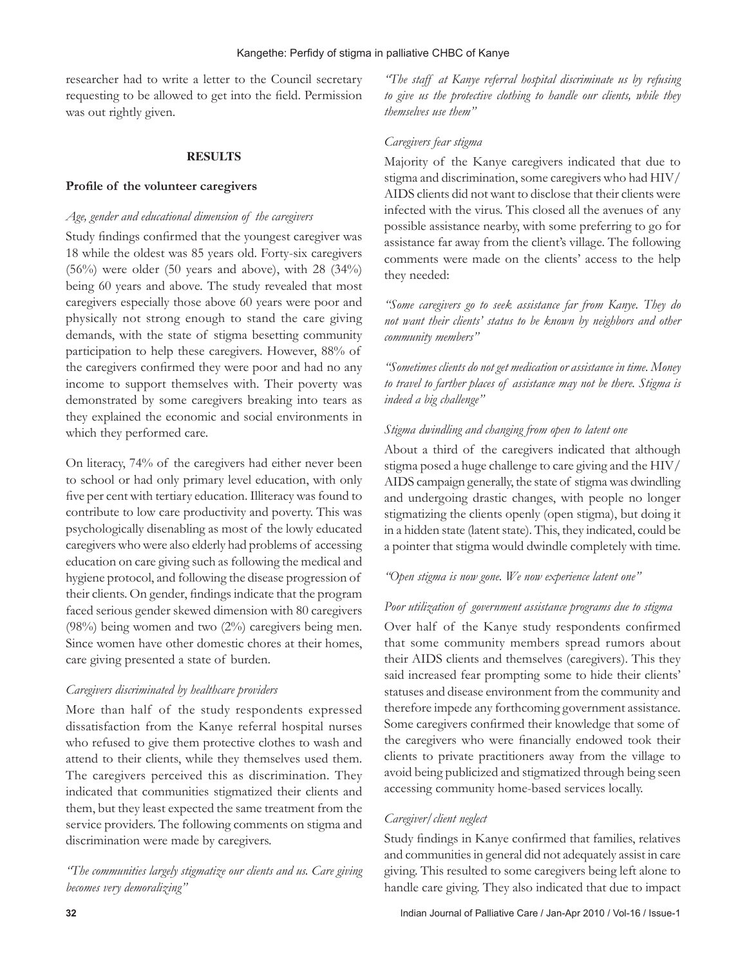researcher had to write a letter to the Council secretary requesting to be allowed to get into the field. Permission was out rightly given.

# **RESULTS**

#### **Profile of the volunteer caregivers**

#### *Age, gender and educational dimension of the caregivers*

Study findings confirmed that the youngest caregiver was 18 while the oldest was 85 years old. Forty-six caregivers  $(56\%)$  were older (50 years and above), with 28 (34%) being 60 years and above. The study revealed that most caregivers especially those above 60 years were poor and physically not strong enough to stand the care giving demands, with the state of stigma besetting community participation to help these caregivers. However, 88% of the caregivers confirmed they were poor and had no any income to support themselves with. Their poverty was demonstrated by some caregivers breaking into tears as they explained the economic and social environments in which they performed care.

On literacy, 74% of the caregivers had either never been to school or had only primary level education, with only five per cent with tertiary education. Illiteracy was found to contribute to low care productivity and poverty. This was psychologically disenabling as most of the lowly educated caregivers who were also elderly had problems of accessing education on care giving such as following the medical and hygiene protocol, and following the disease progression of their clients. On gender, findings indicate that the program faced serious gender skewed dimension with 80 caregivers (98%) being women and two (2%) caregivers being men. Since women have other domestic chores at their homes, care giving presented a state of burden.

#### *Caregivers discriminated by healthcare providers*

More than half of the study respondents expressed dissatisfaction from the Kanye referral hospital nurses who refused to give them protective clothes to wash and attend to their clients, while they themselves used them. The caregivers perceived this as discrimination. They indicated that communities stigmatized their clients and them, but they least expected the same treatment from the service providers. The following comments on stigma and discrimination were made by caregivers.

*"The communities largely stigmatize our clients and us. Care giving becomes very demoralizing"*

*"The staff at Kanye referral hospital discriminate us by refusing to give us the protective clothing to handle our clients, while they themselves use them"*

#### *Caregivers fear stigma*

Majority of the Kanye caregivers indicated that due to stigma and discrimination, some caregivers who had HIV/ AIDS clients did not want to disclose that their clients were infected with the virus. This closed all the avenues of any possible assistance nearby, with some preferring to go for assistance far away from the client's village. The following comments were made on the clients' access to the help they needed:

*"Some caregivers go to seek assistance far from Kanye. They do not want their clients' status to be known by neighbors and other community members"*

*"Sometimes clients do not get medication or assistance in time. Money to travel to farther places of assistance may not be there. Stigma is indeed a big challenge"*

# *Stigma dwindling and changing from open to latent one*

About a third of the caregivers indicated that although stigma posed a huge challenge to care giving and the HIV/ AIDS campaign generally, the state of stigma was dwindling and undergoing drastic changes, with people no longer stigmatizing the clients openly (open stigma), but doing it in a hidden state (latent state). This, they indicated, could be a pointer that stigma would dwindle completely with time.

# *"Open stigma is now gone. We now experience latent one"*

#### *Poor utilization of government assistance programs due to stigma*

Over half of the Kanye study respondents confirmed that some community members spread rumors about their AIDS clients and themselves (caregivers). This they said increased fear prompting some to hide their clients' statuses and disease environment from the community and therefore impede any forthcoming government assistance. Some caregivers confirmed their knowledge that some of the caregivers who were financially endowed took their clients to private practitioners away from the village to avoid being publicized and stigmatized through being seen accessing community home-based services locally.

# *Caregiver/client neglect*

Study findings in Kanye confirmed that families, relatives and communities in general did not adequately assist in care giving. This resulted to some caregivers being left alone to handle care giving. They also indicated that due to impact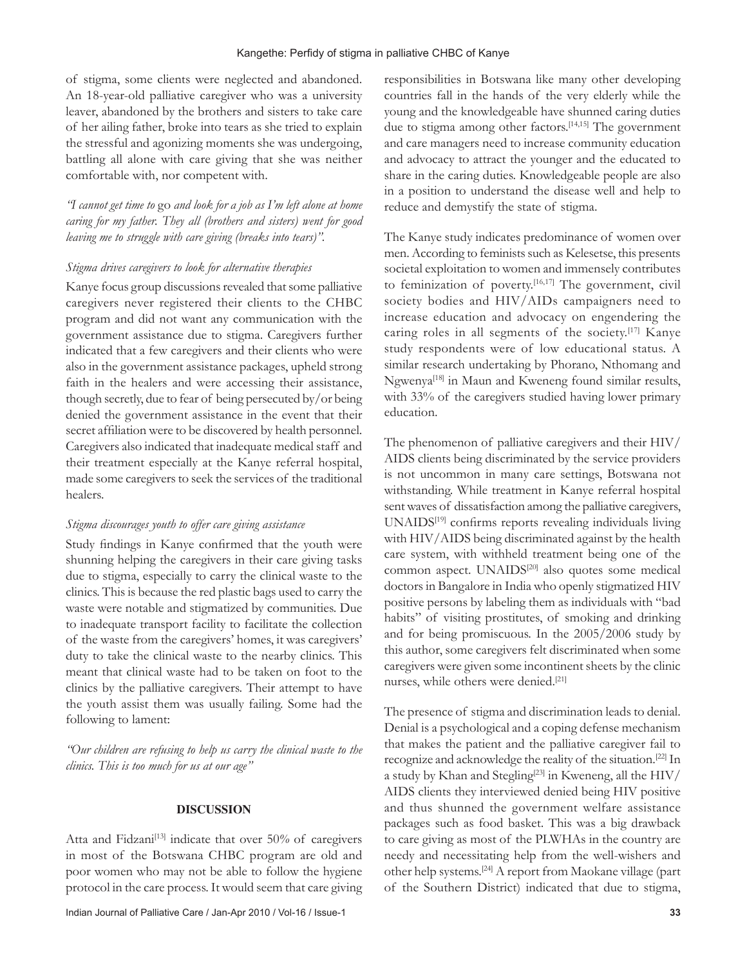of stigma, some clients were neglected and abandoned. An 18-year-old palliative caregiver who was a university leaver, abandoned by the brothers and sisters to take care of her ailing father, broke into tears as she tried to explain the stressful and agonizing moments she was undergoing, battling all alone with care giving that she was neither comfortable with, nor competent with.

*"I cannot get time to* go *and look for a job as I'm left alone at home caring for my father. They all (brothers and sisters) went for good leaving me to struggle with care giving (breaks into tears)".* 

#### *Stigma drives caregivers to look for alternative therapies*

Kanye focus group discussions revealed that some palliative caregivers never registered their clients to the CHBC program and did not want any communication with the government assistance due to stigma. Caregivers further indicated that a few caregivers and their clients who were also in the government assistance packages, upheld strong faith in the healers and were accessing their assistance, though secretly, due to fear of being persecuted by/or being denied the government assistance in the event that their secret affiliation were to be discovered by health personnel. Caregivers also indicated that inadequate medical staff and their treatment especially at the Kanye referral hospital, made some caregivers to seek the services of the traditional healers.

#### *Stigma discourages youth to offer care giving assistance*

Study findings in Kanye confirmed that the youth were shunning helping the caregivers in their care giving tasks due to stigma, especially to carry the clinical waste to the clinics. This is because the red plastic bags used to carry the waste were notable and stigmatized by communities. Due to inadequate transport facility to facilitate the collection of the waste from the caregivers' homes, it was caregivers' duty to take the clinical waste to the nearby clinics. This meant that clinical waste had to be taken on foot to the clinics by the palliative caregivers. Their attempt to have the youth assist them was usually failing. Some had the following to lament:

*"Our children are refusing to help us carry the clinical waste to the clinics. This is too much for us at our age"*

#### **DISCUSSION**

Atta and Fidzani<sup>[13]</sup> indicate that over 50% of caregivers in most of the Botswana CHBC program are old and poor women who may not be able to follow the hygiene protocol in the care process. It would seem that care giving responsibilities in Botswana like many other developing countries fall in the hands of the very elderly while the young and the knowledgeable have shunned caring duties due to stigma among other factors.<sup>[14,15]</sup> The government and care managers need to increase community education and advocacy to attract the younger and the educated to share in the caring duties. Knowledgeable people are also in a position to understand the disease well and help to reduce and demystify the state of stigma.

The Kanye study indicates predominance of women over men. According to feminists such as Kelesetse, this presents societal exploitation to women and immensely contributes to feminization of poverty.<sup>[16,17]</sup> The government, civil society bodies and HIV/AIDs campaigners need to increase education and advocacy on engendering the caring roles in all segments of the society.[17] Kanye study respondents were of low educational status. A similar research undertaking by Phorano, Nthomang and Ngwenya[18] in Maun and Kweneng found similar results, with 33% of the caregivers studied having lower primary education.

The phenomenon of palliative caregivers and their HIV/ AIDS clients being discriminated by the service providers is not uncommon in many care settings, Botswana not withstanding. While treatment in Kanye referral hospital sent waves of dissatisfaction among the palliative caregivers, UNAIDS[19] confirms reports revealing individuals living with HIV/AIDS being discriminated against by the health care system, with withheld treatment being one of the common aspect. UNAIDS[20] also quotes some medical doctors in Bangalore in India who openly stigmatized HIV positive persons by labeling them as individuals with "bad habits" of visiting prostitutes, of smoking and drinking and for being promiscuous. In the 2005/2006 study by this author, some caregivers felt discriminated when some caregivers were given some incontinent sheets by the clinic nurses, while others were denied.[21]

The presence of stigma and discrimination leads to denial. Denial is a psychological and a coping defense mechanism that makes the patient and the palliative caregiver fail to recognize and acknowledge the reality of the situation.[22] In a study by Khan and Stegling<sup>[23]</sup> in Kweneng, all the HIV/ AIDS clients they interviewed denied being HIV positive and thus shunned the government welfare assistance packages such as food basket. This was a big drawback to care giving as most of the PLWHAs in the country are needy and necessitating help from the well-wishers and other help systems.[24] A report from Maokane village (part of the Southern District) indicated that due to stigma,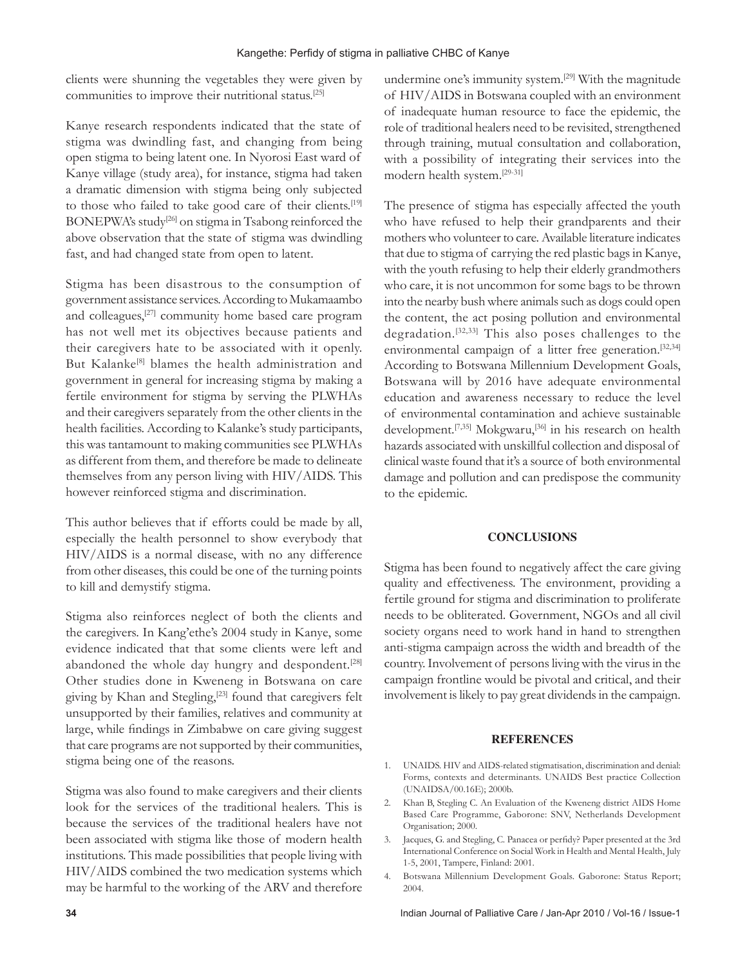clients were shunning the vegetables they were given by communities to improve their nutritional status.[25]

Kanye research respondents indicated that the state of stigma was dwindling fast, and changing from being open stigma to being latent one. In Nyorosi East ward of Kanye village (study area), for instance, stigma had taken a dramatic dimension with stigma being only subjected to those who failed to take good care of their clients.<sup>[19]</sup> BONEPWA's study<sup>[26]</sup> on stigma in Tsabong reinforced the above observation that the state of stigma was dwindling fast, and had changed state from open to latent.

Stigma has been disastrous to the consumption of government assistance services. According to Mukamaambo and colleagues,[27] community home based care program has not well met its objectives because patients and their caregivers hate to be associated with it openly. But Kalanke<sup>[8]</sup> blames the health administration and government in general for increasing stigma by making a fertile environment for stigma by serving the PLWHAs and their caregivers separately from the other clients in the health facilities. According to Kalanke's study participants, this was tantamount to making communities see PLWHAs as different from them, and therefore be made to delineate themselves from any person living with HIV/AIDS. This however reinforced stigma and discrimination.

This author believes that if efforts could be made by all, especially the health personnel to show everybody that HIV/AIDS is a normal disease, with no any difference from other diseases, this could be one of the turning points to kill and demystify stigma.

Stigma also reinforces neglect of both the clients and the caregivers. In Kang'ethe's 2004 study in Kanye, some evidence indicated that that some clients were left and abandoned the whole day hungry and despondent.<sup>[28]</sup> Other studies done in Kweneng in Botswana on care giving by Khan and Stegling,<sup>[23]</sup> found that caregivers felt unsupported by their families, relatives and community at large, while findings in Zimbabwe on care giving suggest that care programs are not supported by their communities, stigma being one of the reasons.

Stigma was also found to make caregivers and their clients look for the services of the traditional healers. This is because the services of the traditional healers have not been associated with stigma like those of modern health institutions. This made possibilities that people living with HIV/AIDS combined the two medication systems which may be harmful to the working of the ARV and therefore

undermine one's immunity system.[29] With the magnitude of HIV/AIDS in Botswana coupled with an environment of inadequate human resource to face the epidemic, the role of traditional healers need to be revisited, strengthened through training, mutual consultation and collaboration, with a possibility of integrating their services into the modern health system.[29-31]

The presence of stigma has especially affected the youth who have refused to help their grandparents and their mothers who volunteer to care. Available literature indicates that due to stigma of carrying the red plastic bags in Kanye, with the youth refusing to help their elderly grandmothers who care, it is not uncommon for some bags to be thrown into the nearby bush where animals such as dogs could open the content, the act posing pollution and environmental degradation.[32,33] This also poses challenges to the environmental campaign of a litter free generation.<sup>[32,34]</sup> According to Botswana Millennium Development Goals, Botswana will by 2016 have adequate environmental education and awareness necessary to reduce the level of environmental contamination and achieve sustainable development.<sup>[7,35]</sup> Mokgwaru,<sup>[36]</sup> in his research on health hazards associated with unskillful collection and disposal of clinical waste found that it's a source of both environmental damage and pollution and can predispose the community to the epidemic.

## **CONCLUSIONS**

Stigma has been found to negatively affect the care giving quality and effectiveness. The environment, providing a fertile ground for stigma and discrimination to proliferate needs to be obliterated. Government, NGOs and all civil society organs need to work hand in hand to strengthen anti-stigma campaign across the width and breadth of the country. Involvement of persons living with the virus in the campaign frontline would be pivotal and critical, and their involvement is likely to pay great dividends in the campaign.

## **REFERENCES**

- 1. UNAIDS. HIV and AIDS-related stigmatisation, discrimination and denial: Forms, contexts and determinants. UNAIDS Best practice Collection (UNAIDSA/00.16E); 2000b.
- 2. Khan B, Stegling C. An Evaluation of the Kweneng district AIDS Home Based Care Programme, Gaborone: SNV, Netherlands Development Organisation; 2000.
- 3. Jacques, G. and Stegling, C. Panacea or perfidy? Paper presented at the 3rd International Conference on Social Work in Health and Mental Health, July 1-5, 2001, Tampere, Finland: 2001.
- 4. Botswana Millennium Development Goals. Gaborone: Status Report; 2004.